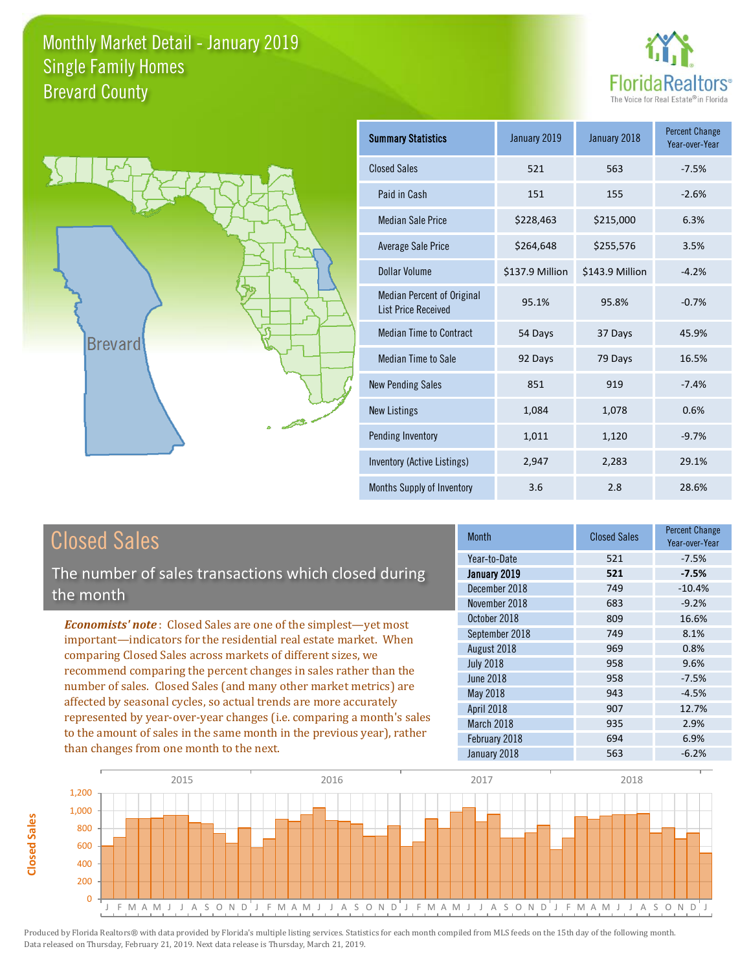



| <b>Summary Statistics</b>                                       | January 2019    | January 2018    | <b>Percent Change</b><br>Year-over-Year |
|-----------------------------------------------------------------|-----------------|-----------------|-----------------------------------------|
| <b>Closed Sales</b>                                             | 521             | 563             | $-7.5%$                                 |
| Paid in Cash                                                    | 151             | 155             | $-2.6%$                                 |
| <b>Median Sale Price</b>                                        | \$228,463       | \$215,000       | 6.3%                                    |
| Average Sale Price                                              | \$264,648       | \$255,576       | 3.5%                                    |
| Dollar Volume                                                   | \$137.9 Million | \$143.9 Million | $-4.2%$                                 |
| <b>Median Percent of Original</b><br><b>List Price Received</b> | 95.1%           | 95.8%           | $-0.7%$                                 |
| <b>Median Time to Contract</b>                                  | 54 Days         | 37 Days         | 45.9%                                   |
| <b>Median Time to Sale</b>                                      | 92 Days         | 79 Days         | 16.5%                                   |
| <b>New Pending Sales</b>                                        | 851             | 919             | $-7.4%$                                 |
| <b>New Listings</b>                                             | 1,084           | 1,078           | 0.6%                                    |
| Pending Inventory                                               | 1,011           | 1,120           | $-9.7%$                                 |
| Inventory (Active Listings)                                     | 2,947           | 2,283           | 29.1%                                   |
| Months Supply of Inventory                                      | 3.6             | 2.8             | 28.6%                                   |

The number of sales transactions which closed during the month

*Economists' note* : Closed Sales are one of the simplest—yet most important—indicators for the residential real estate market. When comparing Closed Sales across markets of different sizes, we recommend comparing the percent changes in sales rather than the number of sales. Closed Sales (and many other market metrics) are affected by seasonal cycles, so actual trends are more accurately represented by year-over-year changes (i.e. comparing a month's sales to the amount of sales in the same month in the previous year), rather than changes from one month to the next.

| <b>Month</b>     | <b>Closed Sales</b> | <b>Percent Change</b><br>Year-over-Year |
|------------------|---------------------|-----------------------------------------|
| Year-to-Date     | 521                 | $-7.5%$                                 |
| January 2019     | 521                 | $-7.5%$                                 |
| December 2018    | 749                 | $-10.4%$                                |
| November 2018    | 683                 | $-9.2%$                                 |
| October 2018     | 809                 | 16.6%                                   |
| September 2018   | 749                 | 8.1%                                    |
| August 2018      | 969                 | 0.8%                                    |
| <b>July 2018</b> | 958                 | 9.6%                                    |
| <b>June 2018</b> | 958                 | $-7.5%$                                 |
| May 2018         | 943                 | $-4.5%$                                 |
| April 2018       | 907                 | 12.7%                                   |
| March 2018       | 935                 | 2.9%                                    |
| February 2018    | 694                 | 6.9%                                    |
| January 2018     | 563                 | $-6.2%$                                 |

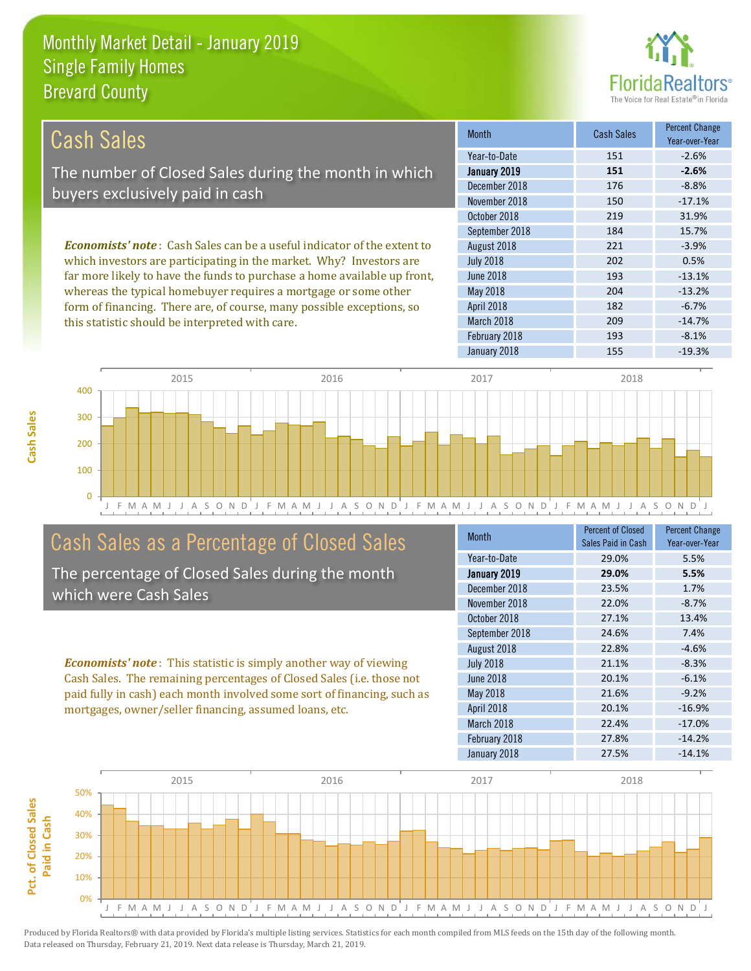this statistic should be interpreted with care.



209 -14.7%

| Cash Sales                                                                      | <b>Month</b>     | Cash Sales | <b>Percent Change</b><br>Year-over-Year |
|---------------------------------------------------------------------------------|------------------|------------|-----------------------------------------|
|                                                                                 | Year-to-Date     | 151        | $-2.6%$                                 |
| The number of Closed Sales during the month in which                            | January 2019     | 151        | $-2.6%$                                 |
| buyers exclusively paid in cash                                                 | December 2018    | 176        | $-8.8%$                                 |
|                                                                                 | November 2018    | 150        | $-17.1%$                                |
|                                                                                 | October 2018     | 219        | 31.9%                                   |
|                                                                                 | September 2018   | 184        | 15.7%                                   |
| <b>Economists' note</b> : Cash Sales can be a useful indicator of the extent to | August 2018      | 221        | $-3.9%$                                 |
| which investors are participating in the market. Why? Investors are             | <b>July 2018</b> | 202        | 0.5%                                    |
| far more likely to have the funds to purchase a home available up front,        | June 2018        | 193        | $-13.1%$                                |
| whereas the typical homebuyer requires a mortgage or some other                 | May 2018         | 204        | $-13.2%$                                |
| form of financing. There are, of course, many possible exceptions, so           | April 2018       | 182        | $-6.7%$                                 |

March 2018



# Cash Sales as a Percentage of Closed Sales

The percentage of Closed Sales during the month which were Cash Sales

*Economists' note* : This statistic is simply another way of viewing Cash Sales. The remaining percentages of Closed Sales (i.e. those not paid fully in cash) each month involved some sort of financing, such as mortgages, owner/seller financing, assumed loans, etc.

| <b>Month</b>     | Percent of Closed<br>Sales Paid in Cash | <b>Percent Change</b><br>Year-over-Year |
|------------------|-----------------------------------------|-----------------------------------------|
| Year-to-Date     | 29.0%                                   | 5.5%                                    |
| January 2019     | 29.0%                                   | 5.5%                                    |
| December 2018    | 23.5%                                   | 1.7%                                    |
| November 2018    | 22.0%                                   | $-8.7%$                                 |
| October 2018     | 27.1%                                   | 13.4%                                   |
| September 2018   | 24.6%                                   | 7.4%                                    |
| August 2018      | 22.8%                                   | $-4.6%$                                 |
| <b>July 2018</b> | 21.1%                                   | $-8.3%$                                 |
| <b>June 2018</b> | 20.1%                                   | $-6.1%$                                 |
| May 2018         | 21.6%                                   | $-9.2%$                                 |
| April 2018       | 20.1%                                   | $-16.9%$                                |
| March 2018       | 22.4%                                   | $-17.0%$                                |
| February 2018    | 27.8%                                   | $-14.2%$                                |
| January 2018     | 27.5%                                   | $-14.1%$                                |

February 2018 193 -8.1%

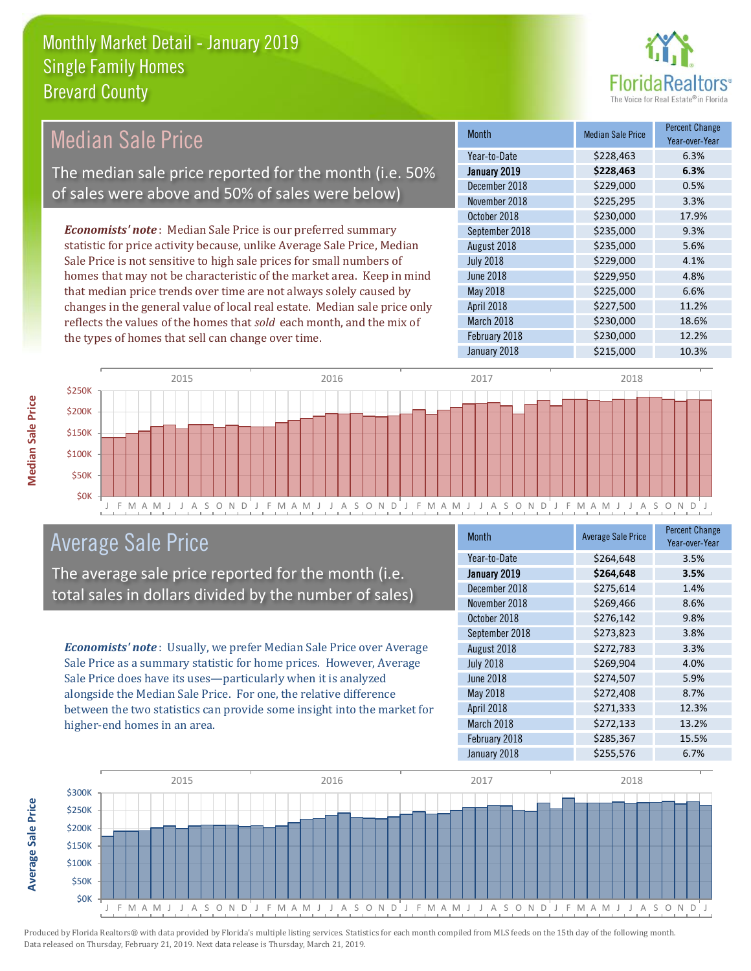

#### Month Median Sale Price Percent Change Year-over-Year January 2019 **\$228,463 6.3%** Year-to-Date \$228,463 6.3% June 2018 **\$229,950 4.8%** December 2018 **\$229,000** 0.5% November 2018 **\$225,295** 3.3% August 2018 **\$235,000** 5.6% July 2018 **\$229,000 4.1%** October 2018 **\$230,000** 17.9% September 2018 **\$235,000** 9.3% May 2018 **6.6%** \$225,000 6.6% April 2018 **\$227,500** 11.2% March 2018 **\$230,000** 18.6% February 2018 **\$230,000** 12.2% January 2018 **\$215,000** 10.3% *Economists' note* : Median Sale Price is our preferred summary statistic for price activity because, unlike Average Sale Price, Median Sale Price is not sensitive to high sale prices for small numbers of homes that may not be characteristic of the market area. Keep in mind that median price trends over time are not always solely caused by changes in the general value of local real estate. Median sale price only reflects the values of the homes that *sold* each month, and the mix of the types of homes that sell can change over time. Median Sale Price The median sale price reported for the month (i.e. 50% of sales were above and 50% of sales were below)



# Average Sale Price

The average sale price reported for the month (i.e. total sales in dollars divided by the number of sales)

*Economists' note* : Usually, we prefer Median Sale Price over Average Sale Price as a summary statistic for home prices. However, Average Sale Price does have its uses—particularly when it is analyzed alongside the Median Sale Price. For one, the relative difference between the two statistics can provide some insight into the market for higher-end homes in an area.

| <b>Month</b>     | <b>Average Sale Price</b> | <b>Percent Change</b><br>Year-over-Year |
|------------------|---------------------------|-----------------------------------------|
| Year-to-Date     | \$264,648                 | 3.5%                                    |
| January 2019     | \$264,648                 | 3.5%                                    |
| December 2018    | \$275,614                 | 1.4%                                    |
| November 2018    | \$269,466                 | 8.6%                                    |
| October 2018     | \$276,142                 | 9.8%                                    |
| September 2018   | \$273,823                 | 3.8%                                    |
| August 2018      | \$272,783                 | 3.3%                                    |
| <b>July 2018</b> | \$269,904                 | 4.0%                                    |
| <b>June 2018</b> | \$274,507                 | 5.9%                                    |
| <b>May 2018</b>  | \$272,408                 | 8.7%                                    |
| April 2018       | \$271,333                 | 12.3%                                   |
| March 2018       | \$272,133                 | 13.2%                                   |
| February 2018    | \$285,367                 | 15.5%                                   |
| January 2018     | \$255,576                 | 6.7%                                    |

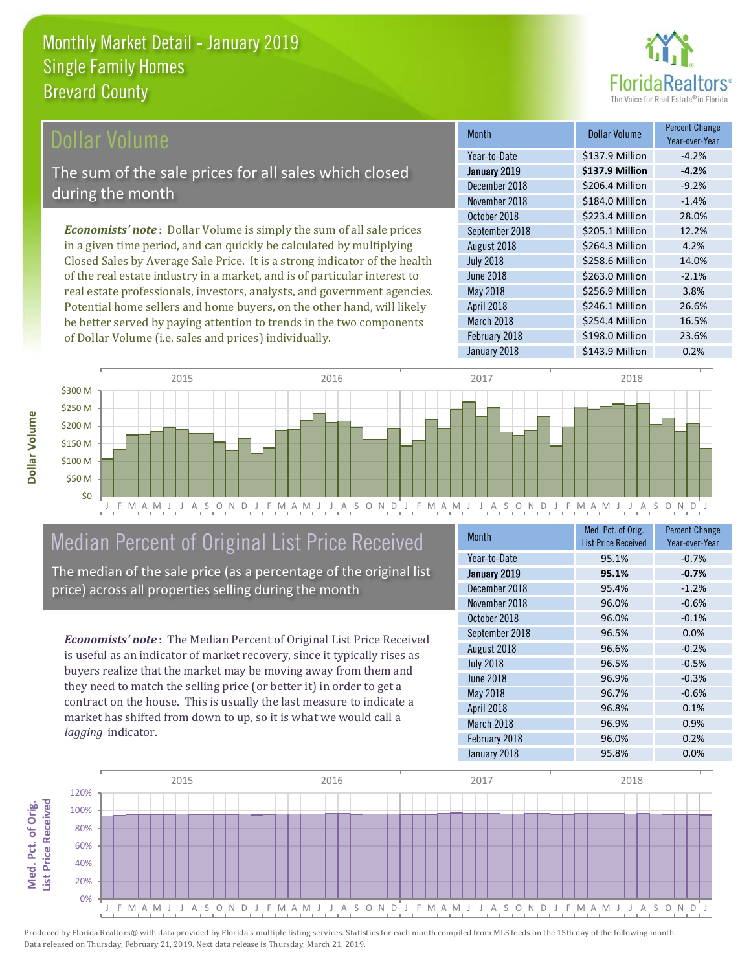

## ollar Volume

The sum of the sale prices for all sales which closed during the month

*Economists' note* : Dollar Volume is simply the sum of all sale prices in a given time period, and can quickly be calculated by multiplying Closed Sales by Average Sale Price. It is a strong indicator of the health of the real estate industry in a market, and is of particular interest to real estate professionals, investors, analysts, and government agencies. Potential home sellers and home buyers, on the other hand, will likely be better served by paying attention to trends in the two components of Dollar Volume (i.e. sales and prices) individually.

| <b>Month</b>     | Dollar Volume   | <b>Percent Change</b><br>Year-over-Year |
|------------------|-----------------|-----------------------------------------|
| Year-to-Date     | \$137.9 Million | $-4.2%$                                 |
| January 2019     | \$137.9 Million | $-4.2%$                                 |
| December 2018    | \$206.4 Million | $-9.2%$                                 |
| November 2018    | \$184.0 Million | $-1.4%$                                 |
| October 2018     | \$223.4 Million | 28.0%                                   |
| September 2018   | \$205.1 Million | 12.2%                                   |
| August 2018      | \$264.3 Million | 4.2%                                    |
| <b>July 2018</b> | \$258.6 Million | 14.0%                                   |
| <b>June 2018</b> | \$263.0 Million | $-2.1%$                                 |
| May 2018         | \$256.9 Million | 3.8%                                    |
| April 2018       | \$246.1 Million | 26.6%                                   |
| March 2018       | \$254.4 Million | 16.5%                                   |
| February 2018    | \$198.0 Million | 23.6%                                   |
| January 2018     | \$143.9 Million | 0.2%                                    |



# Median Percent of Original List Price Received

The median of the sale price (as a percentage of the original list price) across all properties selling during the month

*Economists' note* : The Median Percent of Original List Price Received is useful as an indicator of market recovery, since it typically rises as buyers realize that the market may be moving away from them and they need to match the selling price (or better it) in order to get a contract on the house. This is usually the last measure to indicate a market has shifted from down to up, so it is what we would call a *lagging* indicator.

| <b>Month</b>     | Med. Pct. of Orig.<br><b>List Price Received</b> | <b>Percent Change</b><br>Year-over-Year |
|------------------|--------------------------------------------------|-----------------------------------------|
| Year-to-Date     | 95.1%                                            | $-0.7%$                                 |
| January 2019     | 95.1%                                            | $-0.7%$                                 |
| December 2018    | 95.4%                                            | $-1.2%$                                 |
| November 2018    | 96.0%                                            | $-0.6%$                                 |
| October 2018     | 96.0%                                            | $-0.1%$                                 |
| September 2018   | 96.5%                                            | 0.0%                                    |
| August 2018      | 96.6%                                            | $-0.2%$                                 |
| <b>July 2018</b> | 96.5%                                            | $-0.5%$                                 |
| June 2018        | 96.9%                                            | $-0.3%$                                 |
| May 2018         | 96.7%                                            | $-0.6%$                                 |
| April 2018       | 96.8%                                            | 0.1%                                    |
| March 2018       | 96.9%                                            | 0.9%                                    |
| February 2018    | 96.0%                                            | 0.2%                                    |
| January 2018     | 95.8%                                            | 0.0%                                    |

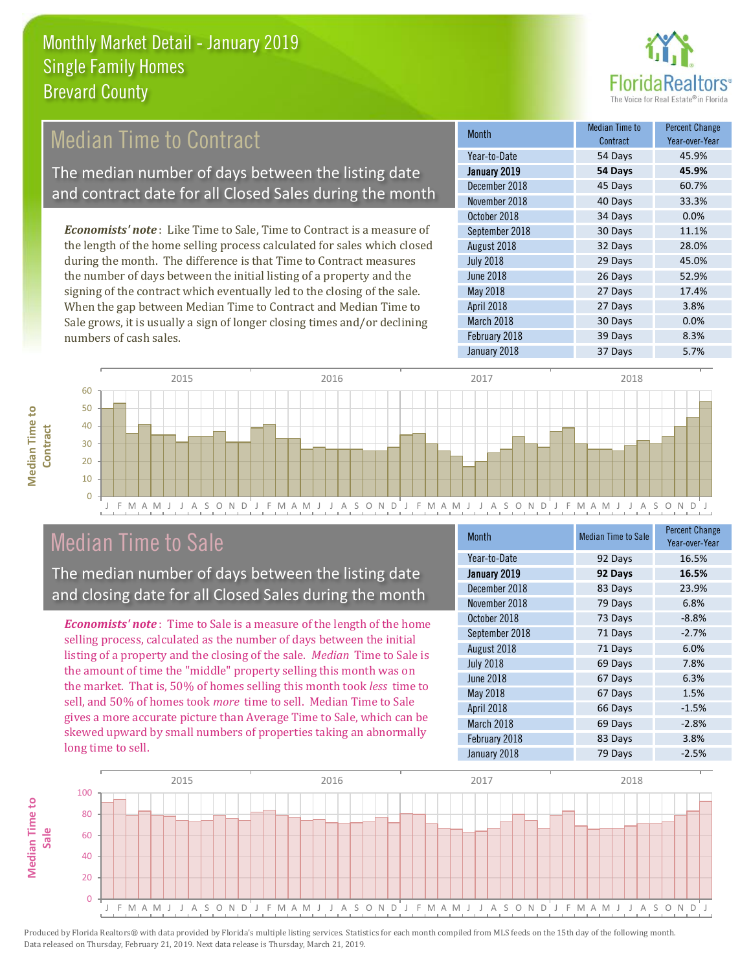

# Median Time to Contract

The median number of days between the listing date and contract date for all Closed Sales during the month

*Economists' note* : Like Time to Sale, Time to Contract is a measure of the length of the home selling process calculated for sales which closed during the month. The difference is that Time to Contract measures the number of days between the initial listing of a property and the signing of the contract which eventually led to the closing of the sale. When the gap between Median Time to Contract and Median Time to Sale grows, it is usually a sign of longer closing times and/or declining numbers of cash sales.

| Month            | Median Time to<br>Contract | <b>Percent Change</b><br>Year-over-Year |
|------------------|----------------------------|-----------------------------------------|
| Year-to-Date     | 54 Days                    | 45.9%                                   |
| January 2019     | 54 Days                    | 45.9%                                   |
| December 2018    | 45 Days                    | 60.7%                                   |
| November 2018    | 40 Days                    | 33.3%                                   |
| October 2018     | 34 Days                    | 0.0%                                    |
| September 2018   | 30 Days                    | 11.1%                                   |
| August 2018      | 32 Days                    | 28.0%                                   |
| <b>July 2018</b> | 29 Days                    | 45.0%                                   |
| <b>June 2018</b> | 26 Days                    | 52.9%                                   |
| <b>May 2018</b>  | 27 Days                    | 17.4%                                   |
| April 2018       | 27 Days                    | 3.8%                                    |
| March 2018       | 30 Days                    | 0.0%                                    |
| February 2018    | 39 Days                    | 8.3%                                    |
| January 2018     | 37 Days                    | 5.7%                                    |



# Median Time to Sale

**Median Time to** 

**Median Time to** 

The median number of days between the listing date and closing date for all Closed Sales during the month

*Economists' note* : Time to Sale is a measure of the length of the home selling process, calculated as the number of days between the initial listing of a property and the closing of the sale. *Median* Time to Sale is the amount of time the "middle" property selling this month was on the market. That is, 50% of homes selling this month took *less* time to sell, and 50% of homes took *more* time to sell. Median Time to Sale gives a more accurate picture than Average Time to Sale, which can be skewed upward by small numbers of properties taking an abnormally long time to sell.

| <b>Month</b>     | <b>Median Time to Sale</b> | <b>Percent Change</b><br>Year-over-Year |
|------------------|----------------------------|-----------------------------------------|
| Year-to-Date     | 92 Days                    | 16.5%                                   |
| January 2019     | 92 Days                    | 16.5%                                   |
| December 2018    | 83 Days                    | 23.9%                                   |
| November 2018    | 79 Days                    | 6.8%                                    |
| October 2018     | 73 Days                    | $-8.8%$                                 |
| September 2018   | 71 Days                    | $-2.7%$                                 |
| August 2018      | 71 Days                    | 6.0%                                    |
| <b>July 2018</b> | 69 Days                    | 7.8%                                    |
| <b>June 2018</b> | 67 Days                    | 6.3%                                    |
| May 2018         | 67 Days                    | 1.5%                                    |
| April 2018       | 66 Days                    | $-1.5%$                                 |
| March 2018       | 69 Days                    | $-2.8%$                                 |
| February 2018    | 83 Days                    | 3.8%                                    |
| January 2018     | 79 Days                    | $-2.5%$                                 |

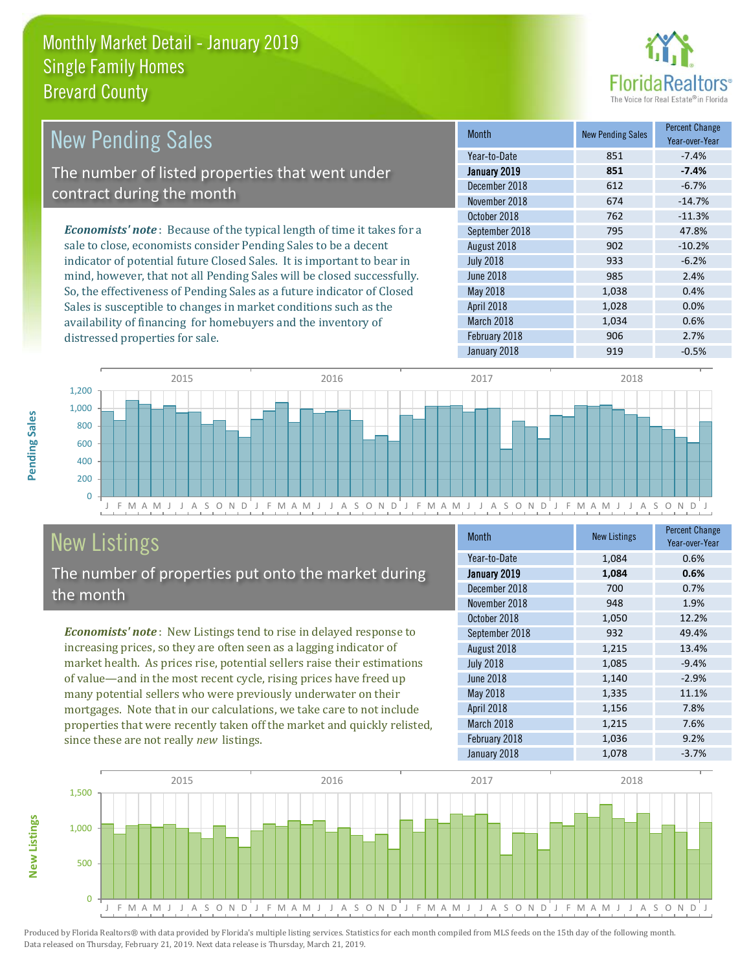

| <b>New Pending Sales</b>                                                       | <b>Month</b>     | <b>New Pending Sales</b> | <b>Percent Change</b><br>Year-over-Year |
|--------------------------------------------------------------------------------|------------------|--------------------------|-----------------------------------------|
|                                                                                | Year-to-Date     | 851                      | $-7.4%$                                 |
| The number of listed properties that went under                                | January 2019     | 851                      | $-7.4%$                                 |
| contract during the month                                                      | December 2018    | 612                      | $-6.7%$                                 |
|                                                                                | November 2018    | 674                      | $-14.7%$                                |
|                                                                                | October 2018     | 762                      | $-11.3%$                                |
| <b>Economists' note</b> : Because of the typical length of time it takes for a | September 2018   | 795                      | 47.8%                                   |
| sale to close, economists consider Pending Sales to be a decent                | August 2018      | 902                      | $-10.2%$                                |
| indicator of potential future Closed Sales. It is important to bear in         | <b>July 2018</b> | 933                      | $-6.2%$                                 |
| mind, however, that not all Pending Sales will be closed successfully.         | June 2018        | 985                      | 2.4%                                    |
| So, the effectiveness of Pending Sales as a future indicator of Closed         | May 2018         | 1.038                    | 0.4%                                    |

J F M A M J J A S O N D J F M A M J J A S O N D J F M A M J J A S O N D J F M A M J J A S O N D J  $\overline{0}$ 200 400 600 800 1,000 1,200 2015 2016 2017 2018

# New Listings

distressed properties for sale.

The number of properties put onto the market during the month

Sales is susceptible to changes in market conditions such as the availability of financing for homebuyers and the inventory of

*Economists' note* : New Listings tend to rise in delayed response to increasing prices, so they are often seen as a lagging indicator of market health. As prices rise, potential sellers raise their estimations of value—and in the most recent cycle, rising prices have freed up many potential sellers who were previously underwater on their mortgages. Note that in our calculations, we take care to not include properties that were recently taken off the market and quickly relisted, since these are not really *new* listings.

| <b>Month</b>     | <b>New Listings</b> | <b>Percent Change</b><br>Year-over-Year |
|------------------|---------------------|-----------------------------------------|
| Year-to-Date     | 1,084               | 0.6%                                    |
| January 2019     | 1,084               | 0.6%                                    |
| December 2018    | 700                 | 0.7%                                    |
| November 2018    | 948                 | 1.9%                                    |
| October 2018     | 1,050               | 12.2%                                   |
| September 2018   | 932                 | 49.4%                                   |
| August 2018      | 1,215               | 13.4%                                   |
| <b>July 2018</b> | 1,085               | $-9.4%$                                 |
| <b>June 2018</b> | 1,140               | $-2.9%$                                 |
| May 2018         | 1,335               | 11.1%                                   |
| April 2018       | 1,156               | 7.8%                                    |
| March 2018       | 1,215               | 7.6%                                    |
| February 2018    | 1,036               | 9.2%                                    |
| January 2018     | 1,078               | $-3.7%$                                 |

April 2018 1,028 0.0% March 2018 1,034 0.6% February 2018 **906** 2.7% January 2018 **919** -0.5%



**New Listings**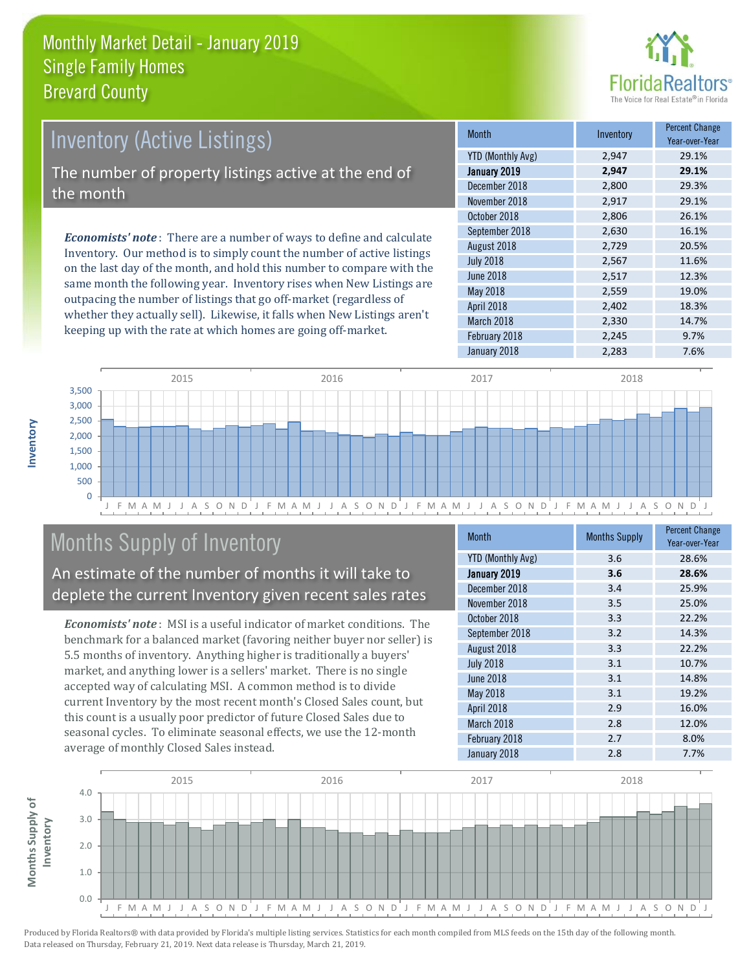

# Inventory (Active Listings) The number of property listings active at the end of the month

*Economists' note* : There are a number of ways to define and calculate Inventory. Our method is to simply count the number of active listings on the last day of the month, and hold this number to compare with the same month the following year. Inventory rises when New Listings are outpacing the number of listings that go off-market (regardless of whether they actually sell). Likewise, it falls when New Listings aren't keeping up with the rate at which homes are going off-market.

| <b>Month</b>             | Inventory | <b>Percent Change</b><br>Year-over-Year |
|--------------------------|-----------|-----------------------------------------|
| <b>YTD (Monthly Avg)</b> | 2,947     | 29.1%                                   |
| January 2019             | 2,947     | 29.1%                                   |
| December 2018            | 2,800     | 29.3%                                   |
| November 2018            | 2,917     | 29.1%                                   |
| October 2018             | 2,806     | 26.1%                                   |
| September 2018           | 2,630     | 16.1%                                   |
| August 2018              | 2,729     | 20.5%                                   |
| <b>July 2018</b>         | 2,567     | 11.6%                                   |
| <b>June 2018</b>         | 2,517     | 12.3%                                   |
| May 2018                 | 2,559     | 19.0%                                   |
| April 2018               | 2,402     | 18.3%                                   |
| March 2018               | 2,330     | 14.7%                                   |
| February 2018            | 2,245     | 9.7%                                    |
| January 2018             | 2,283     | 7.6%                                    |



# Months Supply of Inventory

An estimate of the number of months it will take to deplete the current Inventory given recent sales rates

*Economists' note* : MSI is a useful indicator of market conditions. The benchmark for a balanced market (favoring neither buyer nor seller) is 5.5 months of inventory. Anything higher is traditionally a buyers' market, and anything lower is a sellers' market. There is no single accepted way of calculating MSI. A common method is to divide current Inventory by the most recent month's Closed Sales count, but this count is a usually poor predictor of future Closed Sales due to seasonal cycles. To eliminate seasonal effects, we use the 12-month average of monthly Closed Sales instead.

| Month                    | <b>Months Supply</b> | <b>Percent Change</b><br>Year-over-Year |
|--------------------------|----------------------|-----------------------------------------|
| <b>YTD (Monthly Avg)</b> | 3.6                  | 28.6%                                   |
| January 2019             | 3.6                  | 28.6%                                   |
| December 2018            | 3.4                  | 25.9%                                   |
| November 2018            | 3.5                  | 25.0%                                   |
| October 2018             | 3.3                  | 22.2%                                   |
| September 2018           | 3.2                  | 14.3%                                   |
| August 2018              | 3.3                  | 22.2%                                   |
| <b>July 2018</b>         | 3.1                  | 10.7%                                   |
| <b>June 2018</b>         | 3.1                  | 14.8%                                   |
| May 2018                 | 3.1                  | 19.2%                                   |
| April 2018               | 2.9                  | 16.0%                                   |
| March 2018               | 2.8                  | 12.0%                                   |
| February 2018            | 2.7                  | 8.0%                                    |
| January 2018             | 2.8                  | 7.7%                                    |

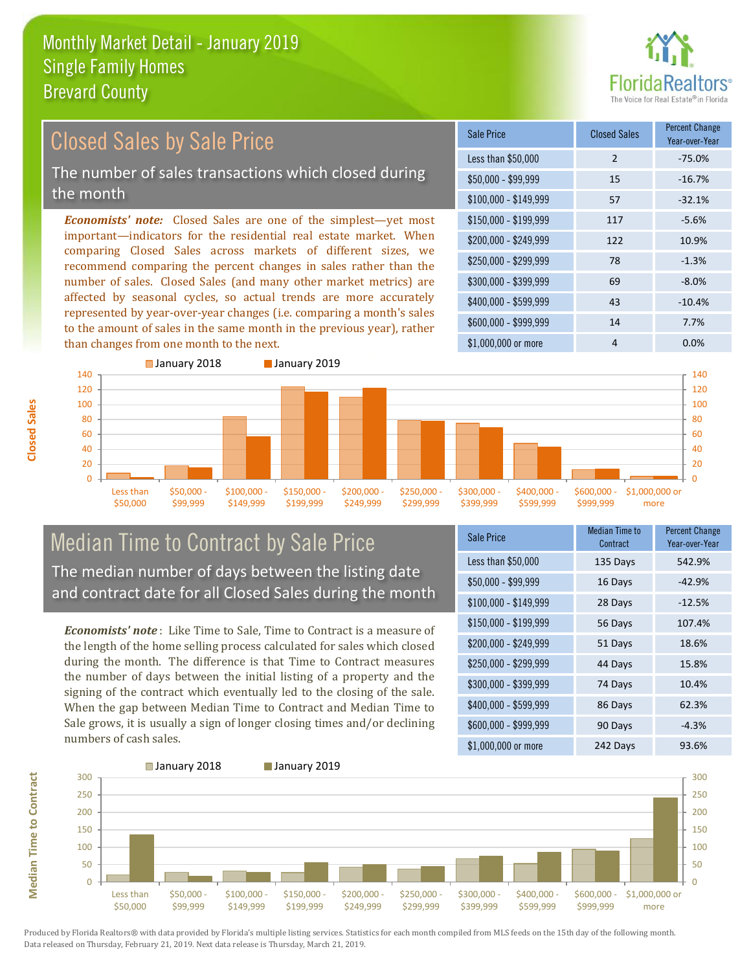than changes from one month to the next.



#### *Economists' note:* Closed Sales are one of the simplest—yet most important—indicators for the residential real estate market. When comparing Closed Sales across markets of different sizes, we recommend comparing the percent changes in sales rather than the number of sales. Closed Sales (and many other market metrics) are affected by seasonal cycles, so actual trends are more accurately represented by year-over-year changes (i.e. comparing a month's sales \$250,000 - \$299,999 78 -1.3% \$300,000 - \$399,999 69 -8.0% \$400,000 - \$599,999 43 -10.4% \$600,000 - \$999,999 14 7.7% \$150,000 - \$199,999 117 -5.6% \$200,000 - \$249,999 122 10.9% \$100,000 - \$149,999 57 -32.1% Sale Price Closed Sales Percent Change Year-over-Year Less than \$50,000 2 -75.0% \$50,000 - \$99,999 15 -16.7% Closed Sales by Sale Price The number of sales transactions which closed during the month



## Median Time to Contract by Sale Price The median number of days between the listing date and contract date for all Closed Sales during the month

to the amount of sales in the same month in the previous year), rather

*Economists' note* : Like Time to Sale, Time to Contract is a measure of the length of the home selling process calculated for sales which closed during the month. The difference is that Time to Contract measures the number of days between the initial listing of a property and the signing of the contract which eventually led to the closing of the sale. When the gap between Median Time to Contract and Median Time to Sale grows, it is usually a sign of longer closing times and/or declining numbers of cash sales.

| <b>Sale Price</b>     | <b>Median Time to</b><br>Contract | <b>Percent Change</b><br>Year-over-Year |
|-----------------------|-----------------------------------|-----------------------------------------|
| Less than \$50,000    | 135 Days                          | 542.9%                                  |
| $$50,000 - $99,999$   | 16 Days                           | $-42.9%$                                |
| $$100,000 - $149,999$ | 28 Days                           | $-12.5%$                                |
| $$150,000 - $199,999$ | 56 Days                           | 107.4%                                  |
| \$200,000 - \$249,999 | 51 Days                           | 18.6%                                   |
| \$250,000 - \$299,999 | 44 Days                           | 15.8%                                   |
| \$300,000 - \$399,999 | 74 Days                           | 10.4%                                   |
| \$400,000 - \$599,999 | 86 Days                           | 62.3%                                   |
| \$600,000 - \$999,999 | 90 Days                           | $-4.3%$                                 |
| \$1,000,000 or more   | 242 Days                          | 93.6%                                   |

\$1,000,000 or more 4 0.0%

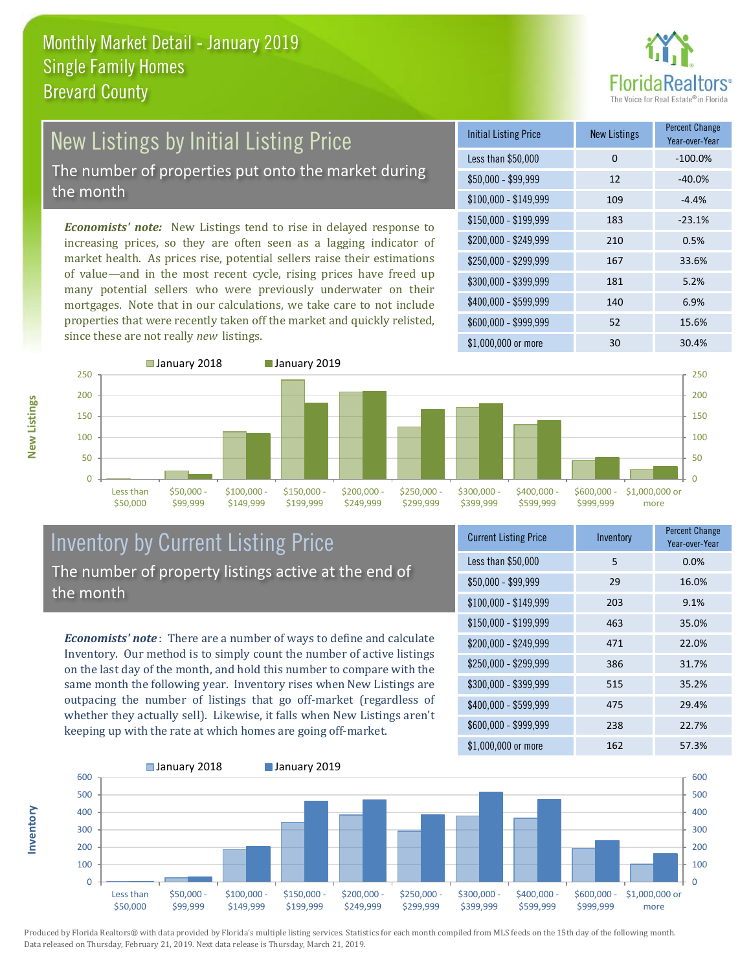

## New Listings by Initial Listing Price The number of properties put onto the market during the month

*Economists' note:* New Listings tend to rise in delayed response to increasing prices, so they are often seen as a lagging indicator of market health. As prices rise, potential sellers raise their estimations of value—and in the most recent cycle, rising prices have freed up many potential sellers who were previously underwater on their mortgages. Note that in our calculations, we take care to not include properties that were recently taken off the market and quickly relisted, since these are not really *new* listings.

| <b>Initial Listing Price</b> | <b>New Listings</b> | <b>Percent Change</b><br>Year-over-Year |
|------------------------------|---------------------|-----------------------------------------|
| Less than \$50,000           | 0                   | $-100.0%$                               |
| $$50,000 - $99,999$          | 12                  | $-40.0%$                                |
| $$100,000 - $149,999$        | 109                 | $-4.4%$                                 |
| $$150,000 - $199,999$        | 183                 | $-23.1%$                                |
| \$200,000 - \$249,999        | 210                 | 0.5%                                    |
| $$250,000 - $299,999$        | 167                 | 33.6%                                   |
| \$300,000 - \$399,999        | 181                 | 5.2%                                    |
| \$400,000 - \$599,999        | 140                 | 6.9%                                    |
| \$600,000 - \$999,999        | 52                  | 15.6%                                   |
| $$1,000,000$ or more         | 30                  | 30.4%                                   |



### Inventory by Current Listing Price The number of property listings active at the end of the month

*Economists' note* : There are a number of ways to define and calculate Inventory. Our method is to simply count the number of active listings on the last day of the month, and hold this number to compare with the same month the following year. Inventory rises when New Listings are outpacing the number of listings that go off-market (regardless of whether they actually sell). Likewise, it falls when New Listings aren't keeping up with the rate at which homes are going off-market.

| <b>Current Listing Price</b> | Inventory | <b>Percent Change</b><br>Year-over-Year |
|------------------------------|-----------|-----------------------------------------|
| Less than \$50,000           | 5         | 0.0%                                    |
| $$50,000 - $99,999$          | 29        | 16.0%                                   |
| $$100,000 - $149,999$        | 203       | 9.1%                                    |
| $$150,000 - $199,999$        | 463       | 35.0%                                   |
| \$200,000 - \$249,999        | 471       | 22.0%                                   |
| \$250,000 - \$299,999        | 386       | 31.7%                                   |
| \$300,000 - \$399,999        | 515       | 35.2%                                   |
| \$400,000 - \$599,999        | 475       | 29.4%                                   |
| \$600,000 - \$999,999        | 238       | 22.7%                                   |
| \$1,000,000 or more          | 162       | 57.3%                                   |



Produced by Florida Realtors® with data provided by Florida's multiple listing services. Statistics for each month compiled from MLS feeds on the 15th day of the following month. Data released on Thursday, February 21, 2019. Next data release is Thursday, March 21, 2019.

**Inventory**